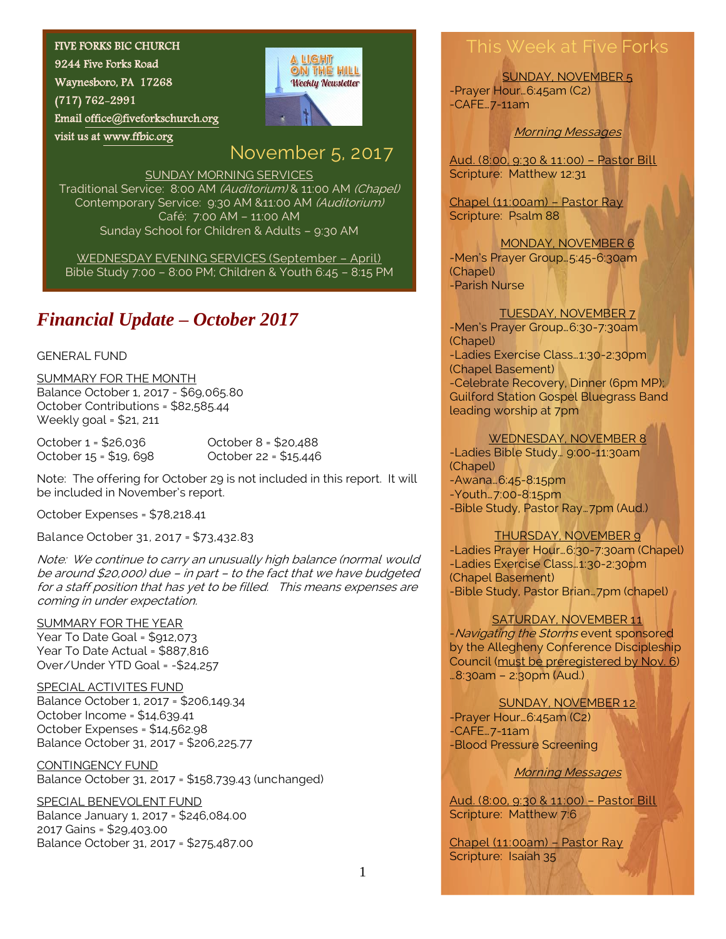#### FIVE FORKS BIC CHURCH

9244 Five Forks Road Waynesboro, PA 17268 (717) 762-2991 Emai[l office@fiveforkschurch.org](mailto:office@fiveforkschurch.org)  visit us at [www.ffbic.org](http://www.ffbic.org/) 



# November 5, 2017

SUNDAY MORNING SERVICES Traditional Service: 8:00 AM (Auditorium) & 11:00 AM (Chapel) Contemporary Service: 9:30 AM &11:00 AM (Auditorium)

Café: 7:00 AM – 11:00 AM Sunday School for Children & Adults – 9:30 AM

WEDNESDAY EVENING SERVICES (September – April) Bible Study 7:00 – 8:00 PM; Children & Youth 6:45 – 8:15 PM

# *Financial Update – October 2017*

### GENERAL FUND

SUMMARY FOR THE MONTH Balance October 1, 2017 - \$69,065.80 October Contributions = \$82,585.44 Weekly goal = \$21, 211

October 1 = \$26,036 October 8 = \$20,488 October 15 = \$19, 698 October 22 = \$15,446

Note: The offering for October 29 is not included in this report. It will be included in November's report.

October Expenses = \$78,218.41

Balance October 31, 2017 = \$73,432.83

Note: We continue to carry an unusually high balance (normal would be around \$20,000) due – in part – to the fact that we have budgeted for a staff position that has yet to be filled. This means expenses are coming in under expectation.

### SUMMARY FOR THE YEAR Year To Date Goal = \$912,073 Year To Date Actual = \$887,816

Over/Under YTD Goal = -\$24,257

SPECIAL ACTIVITES FUND Balance October 1, 2017 = \$206,149.34 October Income = \$14,639.41 October Expenses = \$14,562.98 Balance October 31, 2017 = \$206,225.77

CONTINGENCY FUND Balance October 31, 2017 = \$158,739.43 (unchanged)

SPECIAL BENEVOLENT FUND Balance January 1, 2017 = \$246,084.00 2017 Gains = \$29,403.00 Balance October 31, 2017 = \$275,487.00

# This Week at Five Forks

SUNDAY, NOVEMBER 5 -Prayer Hour…6:45am (C2) -CAFE…7-11am

Morning Messages

Aud. (8:00, 9:30 & 11:00) – Pastor Bill Scripture: Matthew 12:31

Chapel (11:00am) – Pastor Ray Scripture: Psalm 88

MONDAY, NOVEMBER 6 -Men's Prayer Group…5:45-6:30am (Chapel) -Parish Nurse

### TUESDAY, NOVEMBER 7

-Men's Prayer Group...6:30-7:30am (Chapel) -Ladies Exercise Class…1:30-2:30pm (Chapel Basement) -Celebrate Recovery, Dinner (6pm MP); Guilford Station Gospel Bluegrass Band leading worship at 7pm

### WEDNESDAY, NOVEMBER 8

-Ladies Bible Study… 9:00-11:30am (Chapel) -Awana…6:45-8:15pm -Youth…7:00-8:15pm -Bible Study, Pastor Ray…7pm (Aud.)

### THURSDAY, NOVEMBER 9

-Ladies Prayer Hour…6:30-7:30am (Chapel) -Ladies Exercise Class…1:30-2:30pm (Chapel Basement) -Bible Study, Pastor Brian…7pm (chapel)

### SATURDAY, NOVEMBER 11

-Navigating the Storms event sponsored by the Allegheny Conference Discipleship Council (must be preregistered by Nov. 6) …8:30am – 2:30pm (Aud.)

SUNDAY, NOVEMBER 12

-Prayer Hour…6:45am (C2) -CAFE…7-11am -Blood Pressure Screening

### Morning Messages

Aud. (8:00, 9:30 & 11:00) – Pastor Bill Scripture: Matthew 7:6

Chapel (11:00am) – Pastor Ray Scripture: Isaiah 35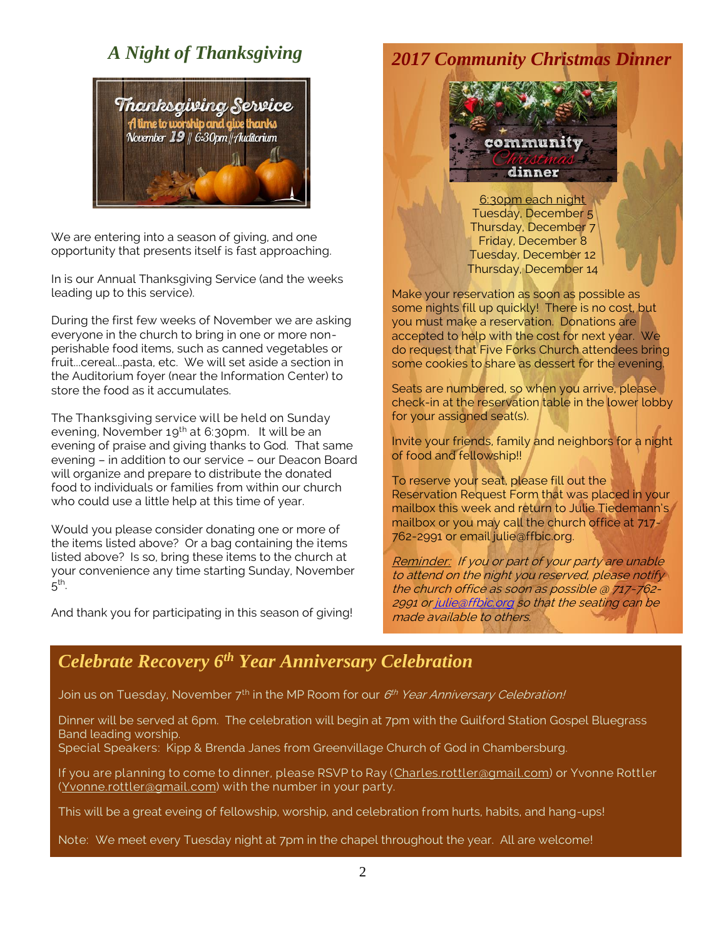## *A Night of Thanksgiving*



We are entering into a season of giving, and one opportunity that presents itself is fast approaching.

In is our Annual Thanksgiving Service (and the weeks leading up to this service).

During the first few weeks of November we are asking everyone in the church to bring in one or more nonperishable food items, such as canned vegetables or fruit...cereal...pasta, etc. We will set aside a section in the Auditorium foyer (near the Information Center) to store the food as it accumulates.

The Thanksgiving service will be held on Sunday evening, November 19<sup>th</sup> at 6:30pm. It will be an evening of praise and giving thanks to God. That same evening – in addition to our service – our Deacon Board will organize and prepare to distribute the donated food to individuals or families from within our church who could use a little help at this time of year.

Would you please consider donating one or more of the items listed above? Or a bag containing the items listed above? Is so, bring these items to the church at your convenience any time starting Sunday, November  $5^{\mathsf{th}}$ .

And thank you for participating in this season of giving!

### *2017 Community Christmas Dinner*



6:30pm each night Tuesday, December 5 Thursday, December 7 Friday, December 8 Tuesday, December 12 Thursday, December 14

Make your reservation as soon as possible as some nights fill up quickly! There is no cost, but you must make a reservation. Donations are accepted to help with the cost for next year. We do request that Five Forks Church attendees bring some cookies to share as dessert for the evening.

Seats are numbered, so when you arrive, please check-in at the reservation table in the lower lobby for your assigned seat(s).

Invite your friends, family and neighbors for a night of food and fellowship!!

To reserve your seat, please fill out the Reservation Request Form that was placed in your mailbox this week and return to Julie Tiedemann's mailbox or you may call the church office at 717- 762-2991 or email julie@ffbic.org.

Reminder: If you or part of your party are unable to attend on the night you reserved, please notify the church office as soon as possible @ 717-762 2991 o[r julie@ffbic.org](mailto:julie@ffbic.org) so that the seating can be made available to others.

### *Celebrate Recovery 6th Year Anniversary Celebration*

Join us on Tuesday, November 7<sup>th</sup> in the MP Room for our *6<sup>th</sup> Year Anniversary Celebration!* 

Dinner will be served at 6pm. The celebration will begin at 7pm with the Guilford Station Gospel Bluegrass Band leading worship.

Special Speakers: Kipp & Brenda Janes from Greenvillage Church of God in Chambersburg.

If you are planning to come to dinner, please RSVP to Ray [\(Charles.rottler@gmail.com\)](mailto:Charles.rottler@gmail.com) or Yvonne Rottler [\(Yvonne.rottler@gmail.com\)](mailto:Yvonne.rottler@gmail.com) with the number in your party.

This will be a great eveing of fellowship, worship, and celebration from hurts, habits, and hang-ups!

Note: We meet every Tuesday night at 7pm in the chapel throughout the year. All are welcome!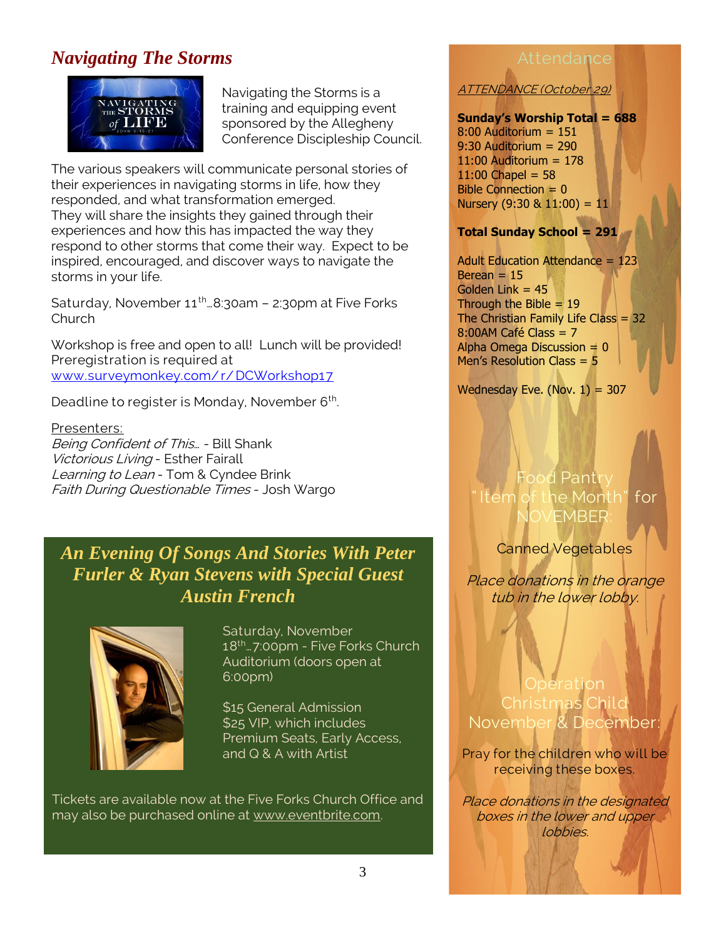# *Navigating The Storms*



Navigating the Storms is a training and equipping event sponsored by the Allegheny Conference Discipleship Council.

The various speakers will communicate personal stories of their experiences in navigating storms in life, how they responded, and what transformation emerged. They will share the insights they gained through their experiences and how this has impacted the way they respond to other storms that come their way. Expect to be inspired, encouraged, and discover ways to navigate the storms in your life.

Saturday, November  $11^{th}$ . 8:30am - 2:30pm at Five Forks Church

Workshop is free and open to all! Lunch will be provided! Preregistration is required at [www.surveymonkey.com/ r/ DCWorkshop17](http://www.surveymonkey.com/r/DCWorkshop17)

Deadline to register is Monday, November 6<sup>th</sup>. .

## Presenters:

Being Confident of This… - Bill Shank Victorious Living - Esther Fairall Learning to Lean - Tom & Cyndee Brink Faith During Questionable Times - Josh Wargo

## *An Evening Of Songs And Stories With Peter Furler & Ryan Stevens with Special Guest Austin French*



Saturday, November 18th…7:00pm - Five Forks Church Auditorium (doors open at 6:00pm)

\$15 General Admission \$25 VIP, which includes Premium Seats, Early Access, and Q & A with Artist

Tickets are available now at the Five Forks Church Office and may also be purchased online at [www.eventbrite.com.](http://www.eventbrite.com/)

### Attendance

ATTENDANCE (October 29)

### **Sunday's Worship Total = 688**

 $8:00$  Auditorium = 151 9:30 Auditorium = 290 11:00 Auditorium = 178  $11:00$  Chapel = 58 Bible Connection  $= 0$ Nursery  $(9:30 \& 11:00) = 11$ 

### **Total Sunday School = 291**

Adult Education Attendance = 123  $Berean = 15$ Golden Link  $= 45$ Through the Bible  $= 19$ The Christian Family Life Class =  $32$ 8:00AM Café Class = 7 Alpha Omega Discussion  $= 0$ Men's Resolution Class = 5

Wednesday Eve. (Nov.  $1) = 307$ 

## Food Pantry he Month" for FMBER

Canned Vegetables

Place donations in the orange tub in the lower lobby.

**Operation** Christmas Child November & Dec

Pray for the children who will be receiving these boxes.

Place donations in the designated boxes in the lower and upper lobbies.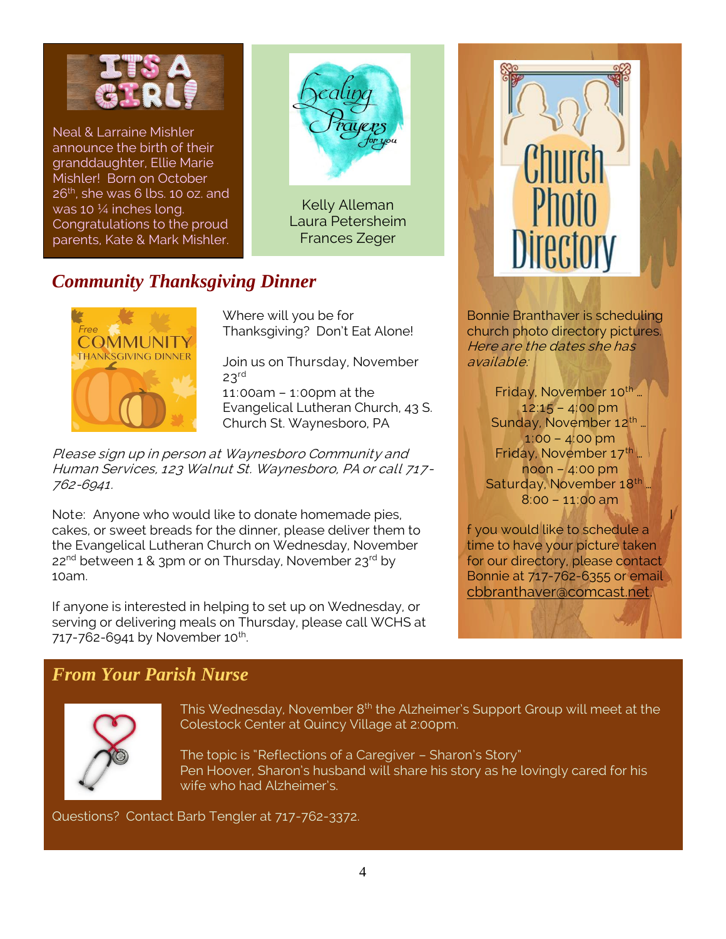

Neal & Larraine Mishler announce the birth of their granddaughter, Ellie Marie Mishler! Born on October  $26<sup>th</sup>$ , she was 6 lbs. 10 oz. and was 10 ¼ inches long. Congratulations to the proud parents, Kate & Mark Mishler.



Kelly Alleman Laura Petersheim Frances Zeger

# *Community Thanksgiving Dinner*



Where will you be for Thanksgiving? Don't Eat Alone!

Join us on Thursday, November  $23<sup>rd</sup>$ 11:00am – 1:00pm at the Evangelical Lutheran Church, 43 S. Church St. Waynesboro, PA

Please sign up in person at Waynesboro Community and Human Services, 123 Walnut St. Waynesboro, PA or call 717- 762-6941.

Note: Anyone who would like to donate homemade pies, cakes, or sweet breads for the dinner, please deliver them to the Evangelical Lutheran Church on Wednesday, November  $22^{nd}$  between 1 & 3pm or on Thursday, November  $23^{rd}$  by 10am.

If anyone is interested in helping to set up on Wednesday, or serving or delivering meals on Thursday, please call WCHS at 717-762-6941 by November 10<sup>th</sup>. .



Bonnie Branthaver is scheduling church photo directory pictures. Here are the dates she has available:

Friday, November 10<sup>th</sup> … 12:15 – 4:00 pm Sunday, November 12<sup>th</sup> … 1:00 – 4:00 pm Friday, November 17<sup>th</sup> ... noon – 4:00 pm Saturday, November 18th … 8:00 – 11:00 am

f you would like to schedule a time to have your picture taken for our directory, please contact Bonnie at 717-762-6355 or email [cbbranthaver@comcast.net.](mailto:cbbranthaver@comcast.net)

**IN ACT AND ACTION** 

### *From Your Parish Nurse*



This Wednesday, November 8<sup>th</sup> the Alzheimer's Support Group will meet at the Colestock Center at Quincy Village at 2:00pm.

The topic is "Reflections of a Caregiver – Sharon's Story" Pen Hoover, Sharon's husband will share his story as he lovingly cared for his wife who had Alzheimer's.

Questions? Contact Barb Tengler at 717-762-3372.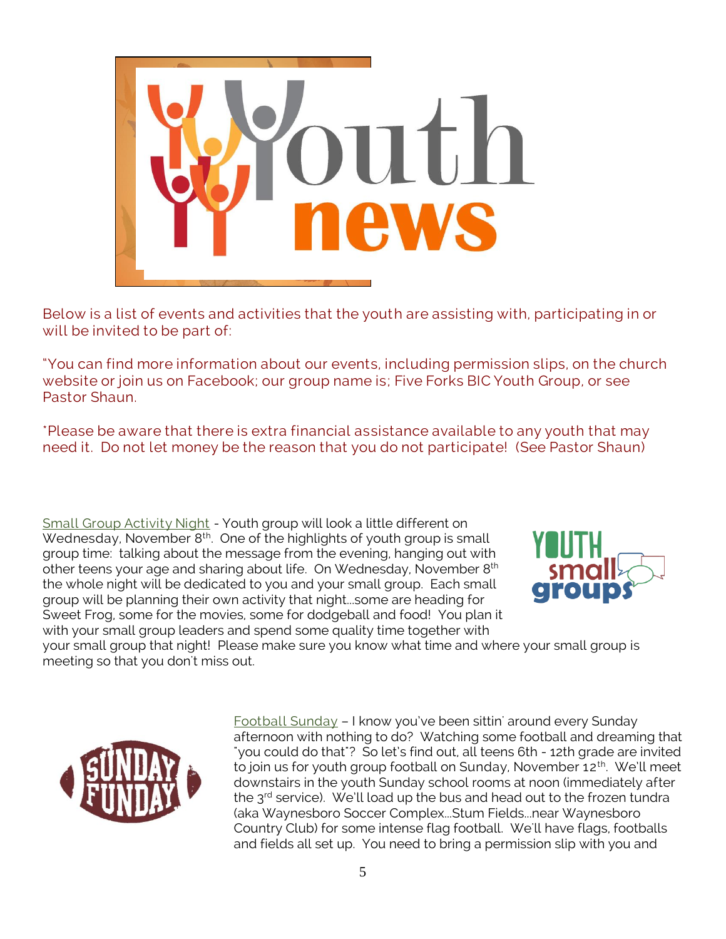

Below is a list of events and activities that the youth are assisting with, participating in or will be invited to be part of:

"You can find more information about our events, including permission slips, on the church website or join us on Facebook; our group name is; Five Forks BIC Youth Group, or see Pastor Shaun.

\*Please be aware that there is extra financial assistance available to any youth that may need it. Do not let money be the reason that you do not participate! (See Pastor Shaun)

Small Group Activity Night - Youth group will look a little different on Wednesday, November 8<sup>th</sup>. One of the highlights of youth group is small group time: talking about the message from the evening, hanging out with other teens your age and sharing about life. On Wednesday, November 8<sup>th</sup> the whole night will be dedicated to you and your small group. Each small group will be planning their own activity that night...some are heading for Sweet Frog, some for the movies, some for dodgeball and food! You plan it with your small group leaders and spend some quality time together with



your small group that night! Please make sure you know what time and where your small group is meeting so that you don't miss out.



 $Football Sunday - I$  know you've been sittin' around every Sunday afternoon with nothing to do? Watching some football and dreaming that "you could do that"? So let's find out, all teens 6th - 12th grade are invited to join us for youth group football on Sunday, November 12<sup>th</sup>. We'll meet downstairs in the youth Sunday school rooms at noon (immediately after the  $3<sup>rd</sup>$  service). We'll load up the bus and head out to the frozen tundra (aka Waynesboro Soccer Complex...Stum Fields...near Waynesboro Country Club) for some intense flag football. We'll have flags, footballs and fields all set up. You need to bring a permission slip with you and